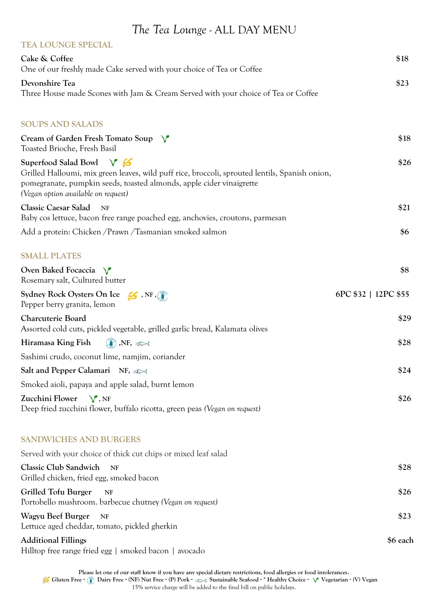## *The Tea Lounge -* ALL DAY MENU

| <b>TEA LOUNGE SPECIAL</b>                                                                                                                                                                                                                                  |                      |
|------------------------------------------------------------------------------------------------------------------------------------------------------------------------------------------------------------------------------------------------------------|----------------------|
| Cake & Coffee<br>One of our freshly made Cake served with your choice of Tea or Coffee                                                                                                                                                                     | \$18                 |
| Devonshire Tea<br>Three House made Scones with Jam & Cream Served with your choice of Tea or Coffee                                                                                                                                                        | \$23                 |
| <b>SOUPS AND SALADS</b>                                                                                                                                                                                                                                    |                      |
| Cream of Garden Fresh Tomato Soup $\sqrt{\ }$<br>Toasted Brioche, Fresh Basil                                                                                                                                                                              | \$18                 |
| Superfood Salad Bowl $\sqrt{\frac{3}{2}}$<br>Grilled Halloumi, mix green leaves, wild puff rice, broccoli, sprouted lentils, Spanish onion,<br>pomegranate, pumpkin seeds, toasted almonds, apple cider vinaigrette<br>(Vegan option available on request) | \$26                 |
| <b>Classic Caesar Salad</b><br>NF<br>Baby cos lettuce, bacon free range poached egg, anchovies, croutons, parmesan                                                                                                                                         | \$21                 |
| Add a protein: Chicken / Prawn / Tasmanian smoked salmon                                                                                                                                                                                                   | \$6                  |
| <b>SMALL PLATES</b>                                                                                                                                                                                                                                        |                      |
| Oven Baked Focaccia $\sqrt{\ }$<br>Rosemary salt, Cultured butter                                                                                                                                                                                          | \$8                  |
| Sydney Rock Oysters On Ice 56, NF,<br>Pepper berry granita, lemon                                                                                                                                                                                          | 6PC \$32   12PC \$55 |
| Charcuterie Board<br>Assorted cold cuts, pickled vegetable, grilled garlic bread, Kalamata olives                                                                                                                                                          | \$29                 |
| $\binom{n}{k}$ , NF, $\infty$<br>Hiramasa King Fish                                                                                                                                                                                                        | \$28                 |
| Sashimi crudo, coconut lime, namjim, coriander                                                                                                                                                                                                             |                      |
| Salt and Pepper Calamari NF, $\infty$                                                                                                                                                                                                                      | \$24                 |
| Smoked aioli, papaya and apple salad, burnt lemon                                                                                                                                                                                                          |                      |
| Zucchini Flower $\sqrt{\ }$ , NF<br>Deep fried zucchini flower, buffalo ricotta, green peas (Vegan on request)                                                                                                                                             | \$26                 |
| <b>SANDWICHES AND BURGERS</b>                                                                                                                                                                                                                              |                      |
| Served with your choice of thick cut chips or mixed leaf salad                                                                                                                                                                                             |                      |
| <b>Classic Club Sandwich</b><br><b>NF</b><br>Grilled chicken, fried egg, smoked bacon                                                                                                                                                                      | \$28                 |
| Grilled Tofu Burger<br><b>NF</b><br>Portobello mushroom, barbecue chutney (Vegan on request)                                                                                                                                                               | \$26                 |
| Wagyu Beef Burger<br><b>NF</b><br>Lettuce aged cheddar, tomato, pickled gherkin                                                                                                                                                                            | \$23                 |
| <b>Additional Fillings</b><br>Hilltop free range fried egg   smoked bacon   avocado                                                                                                                                                                        | \$6 each             |

**Please let one of our staff know if you have any special dietary restrictions, food allergies or food intolerances. Gluten Free · Dairy Free · (NF) Nut Free · (P) Pork · Sustainable Seafood · \* Healthy Choice · Vegetarian · (V) Vegan**  15% service charge will be added to the final bill on public holidays.